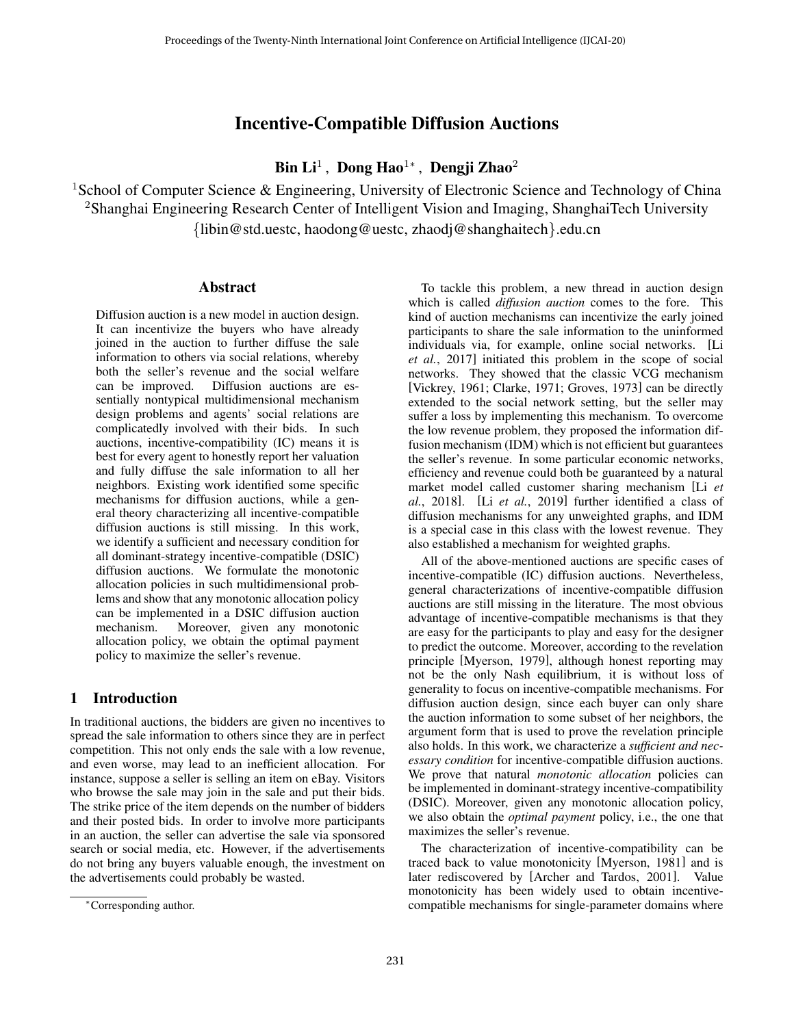# Incentive-Compatible Diffusion Auctions

# Bin Li $^1$  , Dong Hao $^{1*}$  , Dengji Zhao $^2$

<sup>1</sup>School of Computer Science & Engineering, University of Electronic Science and Technology of China <sup>2</sup>Shanghai Engineering Research Center of Intelligent Vision and Imaging, ShanghaiTech University {libin@std.uestc, haodong@uestc, zhaodj@shanghaitech}.edu.cn

#### Abstract

Diffusion auction is a new model in auction design. It can incentivize the buyers who have already joined in the auction to further diffuse the sale information to others via social relations, whereby both the seller's revenue and the social welfare can be improved. Diffusion auctions are essentially nontypical multidimensional mechanism design problems and agents' social relations are complicatedly involved with their bids. In such auctions, incentive-compatibility (IC) means it is best for every agent to honestly report her valuation and fully diffuse the sale information to all her neighbors. Existing work identified some specific mechanisms for diffusion auctions, while a general theory characterizing all incentive-compatible diffusion auctions is still missing. In this work, we identify a sufficient and necessary condition for all dominant-strategy incentive-compatible (DSIC) diffusion auctions. We formulate the monotonic allocation policies in such multidimensional problems and show that any monotonic allocation policy can be implemented in a DSIC diffusion auction mechanism. Moreover, given any monotonic allocation policy, we obtain the optimal payment policy to maximize the seller's revenue.

## 1 Introduction

In traditional auctions, the bidders are given no incentives to spread the sale information to others since they are in perfect competition. This not only ends the sale with a low revenue, and even worse, may lead to an inefficient allocation. For instance, suppose a seller is selling an item on eBay. Visitors who browse the sale may join in the sale and put their bids. The strike price of the item depends on the number of bidders and their posted bids. In order to involve more participants in an auction, the seller can advertise the sale via sponsored search or social media, etc. However, if the advertisements do not bring any buyers valuable enough, the investment on the advertisements could probably be wasted.

To tackle this problem, a new thread in auction design which is called *diffusion auction* comes to the fore. This kind of auction mechanisms can incentivize the early joined participants to share the sale information to the uninformed individuals via, for example, online social networks. [\[Li](#page-6-0) *et al.*[, 2017\]](#page-6-0) initiated this problem in the scope of social networks. They showed that the classic VCG mechanism [\[Vickrey, 1961;](#page-6-1) [Clarke, 1971;](#page-6-2) [Groves, 1973\]](#page-6-3) can be directly extended to the social network setting, but the seller may suffer a loss by implementing this mechanism. To overcome the low revenue problem, they proposed the information diffusion mechanism (IDM) which is not efficient but guarantees the seller's revenue. In some particular economic networks, efficiency and revenue could both be guaranteed by a natural market model called customer sharing mechanism [\[Li](#page-6-4) *et al.*[, 2018\]](#page-6-4). [Li *et al.*[, 2019\]](#page-6-5) further identified a class of diffusion mechanisms for any unweighted graphs, and IDM is a special case in this class with the lowest revenue. They also established a mechanism for weighted graphs.

All of the above-mentioned auctions are specific cases of incentive-compatible (IC) diffusion auctions. Nevertheless, general characterizations of incentive-compatible diffusion auctions are still missing in the literature. The most obvious advantage of incentive-compatible mechanisms is that they are easy for the participants to play and easy for the designer to predict the outcome. Moreover, according to the revelation principle [\[Myerson, 1979\]](#page-6-6), although honest reporting may not be the only Nash equilibrium, it is without loss of generality to focus on incentive-compatible mechanisms. For diffusion auction design, since each buyer can only share the auction information to some subset of her neighbors, the argument form that is used to prove the revelation principle also holds. In this work, we characterize a *sufficient and necessary condition* for incentive-compatible diffusion auctions. We prove that natural *monotonic allocation* policies can be implemented in dominant-strategy incentive-compatibility (DSIC). Moreover, given any monotonic allocation policy, we also obtain the *optimal payment* policy, i.e., the one that maximizes the seller's revenue.

The characterization of incentive-compatibility can be traced back to value monotonicity [\[Myerson, 1981\]](#page-6-7) and is later rediscovered by [\[Archer and Tardos, 2001\]](#page-6-8). Value monotonicity has been widely used to obtain incentivecompatible mechanisms for single-parameter domains where

<sup>∗</sup>Corresponding author.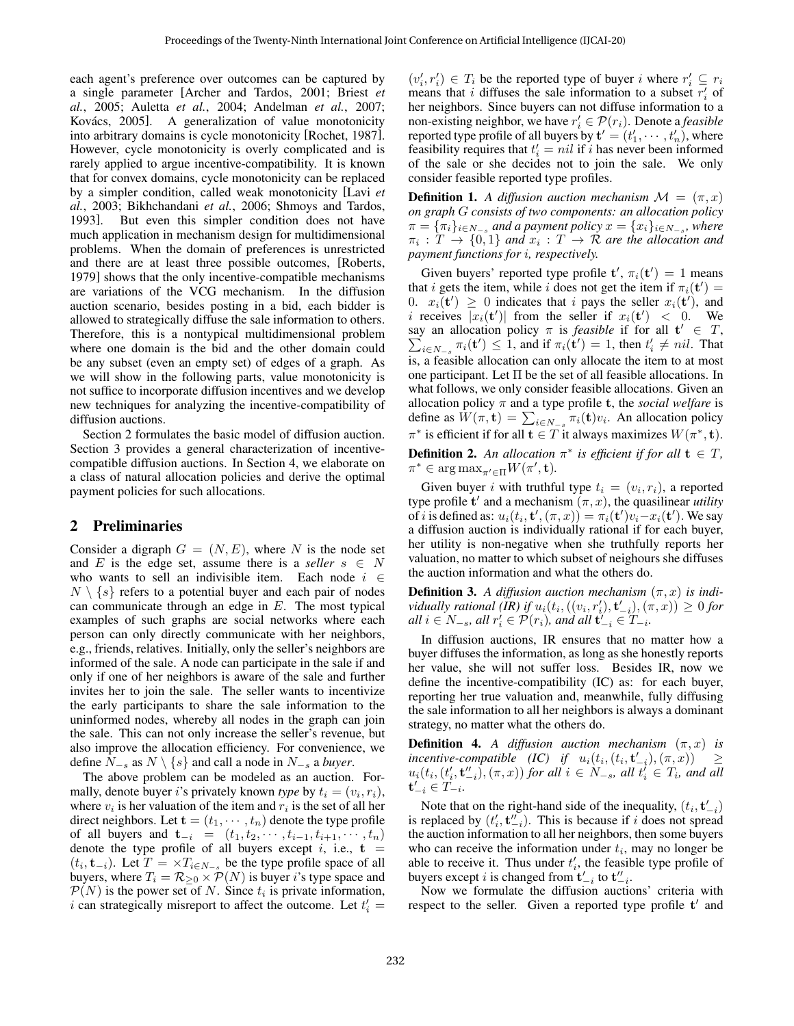each agent's preference over outcomes can be captured by a single parameter [\[Archer and Tardos, 2001;](#page-6-8) [Briest](#page-6-9) *et al.*[, 2005;](#page-6-9) [Auletta](#page-6-10) *et al.*, 2004; [Andelman](#page-6-11) *et al.*, 2007; Kovács, 2005]. A generalization of value monotonicity into arbitrary domains is cycle monotonicity [\[Rochet, 1987\]](#page-6-13). However, cycle monotonicity is overly complicated and is rarely applied to argue incentive-compatibility. It is known that for convex domains, cycle monotonicity can be replaced by a simpler condition, called weak monotonicity [\[Lavi](#page-6-14) *et al.*[, 2003;](#page-6-14) [Bikhchandani](#page-6-15) *et al.*, 2006; [Shmoys and Tardos,](#page-6-16) [1993\]](#page-6-16). But even this simpler condition does not have much application in mechanism design for multidimensional problems. When the domain of preferences is unrestricted and there are at least three possible outcomes, [\[Roberts,](#page-6-17) [1979\]](#page-6-17) shows that the only incentive-compatible mechanisms are variations of the VCG mechanism. In the diffusion auction scenario, besides posting in a bid, each bidder is allowed to strategically diffuse the sale information to others. Therefore, this is a nontypical multidimensional problem where one domain is the bid and the other domain could be any subset (even an empty set) of edges of a graph. As we will show in the following parts, value monotonicity is not suffice to incorporate diffusion incentives and we develop new techniques for analyzing the incentive-compatibility of diffusion auctions.

Section 2 formulates the basic model of diffusion auction. Section 3 provides a general characterization of incentivecompatible diffusion auctions. In Section 4, we elaborate on a class of natural allocation policies and derive the optimal payment policies for such allocations.

### 2 Preliminaries

Consider a digraph  $G = (N, E)$ , where N is the node set and E is the edge set, assume there is a *seller*  $s \in N$ who wants to sell an indivisible item. Each node  $i \in$  $N \setminus \{s\}$  refers to a potential buyer and each pair of nodes can communicate through an edge in  $E$ . The most typical examples of such graphs are social networks where each person can only directly communicate with her neighbors, e.g., friends, relatives. Initially, only the seller's neighbors are informed of the sale. A node can participate in the sale if and only if one of her neighbors is aware of the sale and further invites her to join the sale. The seller wants to incentivize the early participants to share the sale information to the uninformed nodes, whereby all nodes in the graph can join the sale. This can not only increase the seller's revenue, but also improve the allocation efficiency. For convenience, we define  $N_{-s}$  as  $N \setminus \{s\}$  and call a node in  $N_{-s}$  a *buyer*.

The above problem can be modeled as an auction. Formally, denote buyer *i*'s privately known *type* by  $t_i = (v_i, r_i)$ , where  $v_i$  is her valuation of the item and  $r_i$  is the set of all her direct neighbors. Let  $\mathbf{t} = (t_1, \dots, t_n)$  denote the type profile of all buyers and  $t_{-i} = (t_1, t_2, \dots, t_{i-1}, t_{i+1}, \dots, t_n)$ denote the type profile of all buyers except i, i.e.,  $t =$  $(t_i, \mathbf{t}_{-i})$ . Let  $T = \times T_{i \in N_{-s}}$  be the type profile space of all buyers, where  $T_i = \mathcal{R}_{\geq 0} \times \mathcal{P}(N)$  is buyer *i*'s type space and  $P(N)$  is the power set of N. Since  $t_i$  is private information, i can strategically misreport to affect the outcome. Let  $t_i' =$ 

 $(v'_i, r'_i) \in T_i$  be the reported type of buyer i where  $r'_i \subseteq r_i$ means that i diffuses the sale information to a subset  $r_i'$  of her neighbors. Since buyers can not diffuse information to a non-existing neighbor, we have  $r'_i \in \mathcal{P}(r_i)$ . Denote a *feasible* reported type profile of all buyers by  $\mathbf{t}' = (t'_1, \cdots, t'_n)$ , where feasibility requires that  $t'_i = nil$  if i has never been informed of the sale or she decides not to join the sale. We only consider feasible reported type profiles.

**Definition 1.** A diffusion auction mechanism  $\mathcal{M} = (\pi, x)$ *on graph* G *consists of two components: an allocation policy*  $\pi = \{\pi_i\}_{i \in N_{-s}}$  and a payment policy  $x = \{x_i\}_{i \in N_{-s}}$ , where  $\pi_i: T \to \{0,1\}$  and  $x_i: T \to \mathcal{R}$  are the allocation and *payment functions for* i*, respectively.*

Given buyers' reported type profile  $\mathbf{t}'$ ,  $\pi_i(\mathbf{t}') = 1$  means that i gets the item, while i does not get the item if  $\pi_i(\mathbf{t}') =$ 0.  $x_i(t') \geq 0$  indicates that i pays the seller  $x_i(t')$ , and i receives  $|x_i(\mathbf{t}')|$  from the seller if  $x_i(\mathbf{t}') < 0$ . We say an allocation policy  $\pi$  is *feasible* if for all  $t' \in T$ ,  $\sum_{i \in N_{-s}} \pi_i(\mathbf{t}') \leq 1$ , and if  $\pi_i(\mathbf{t}') = 1$ , then  $t'_i \neq nil$ . That is, a feasible allocation can only allocate the item to at most one participant. Let  $\Pi$  be the set of all feasible allocations. In what follows, we only consider feasible allocations. Given an allocation policy  $\pi$  and a type profile **t**, the *social welfare* is define as  $W(\pi, \mathbf{t}) = \sum_{i \in N_{-s}} \pi_i(\mathbf{t}) v_i$ . An allocation policy  $\pi^*$  is efficient if for all  $\mathbf{t} \in T$  it always maximizes  $W(\pi^*, \mathbf{t})$ . **Definition 2.** An allocation  $\pi^*$  is efficient if for all  $\mathbf{t} \in T$ ,  $\pi^* \in \arg \max_{\pi' \in \Pi} W(\pi', \mathbf{t}).$ 

Given buyer *i* with truthful type  $t_i = (v_i, r_i)$ , a reported type profile  $t'$  and a mechanism  $(\pi, x)$ , the quasilinear *utility* of *i* is defined as:  $u_i(t_i, \mathbf{t}', (\pi, x)) = \pi_i(\mathbf{t}')v_i - x_i(\mathbf{t}')$ . We say a diffusion auction is individually rational if for each buyer, her utility is non-negative when she truthfully reports her valuation, no matter to which subset of neighours she diffuses the auction information and what the others do.

**Definition 3.** A diffusion auction mechanism  $(\pi, x)$  is indi*vidually rational (IR) if*  $u_i(t_i, ((v_i, r'_i), t'_{-i}), (\pi, x)) \geq 0$  for *all*  $i \in N_{-s}$ *, all*  $r'_i \in \mathcal{P}(r_i)$ *, and all*  $\mathbf{t}'_{-i} \in T_{-i}$ *.* 

In diffusion auctions, IR ensures that no matter how a buyer diffuses the information, as long as she honestly reports her value, she will not suffer loss. Besides IR, now we define the incentive-compatibility (IC) as: for each buyer, reporting her true valuation and, meanwhile, fully diffusing the sale information to all her neighbors is always a dominant strategy, no matter what the others do.

**Definition 4.** *A diffusion auction mechanism*  $(\pi, x)$  *is*  $\begin{array}{llll} \hbox{incentive-compatible} & (IC) & \hbox{if} & u_i(t_i,(t_i,\mathbf{t}_{-i}'),(\pi,x)) & \geq \hbox{.} \end{array}$  $u_i(t_i, (t'_i, \mathbf{t''}_{-i}), (\pi, x))$  for all  $i \in N_{-s}$ , all  $t'_i \in T_i$ , and all  ${\bf t}'_{-i} \in T_{-i}$ .

Note that on the right-hand side of the inequality,  $(t_i, t'_{-i})$ is replaced by  $(t'_i, t''_{-i})$ . This is because if i does not spread the auction information to all her neighbors, then some buyers who can receive the information under  $t_i$ , may no longer be able to receive it. Thus under  $t'_{i}$ , the feasible type profile of buyers except *i* is changed from  $t'_{-i}$  to  $t''_{-i}$ .

Now we formulate the diffusion auctions' criteria with respect to the seller. Given a reported type profile  $t'$  and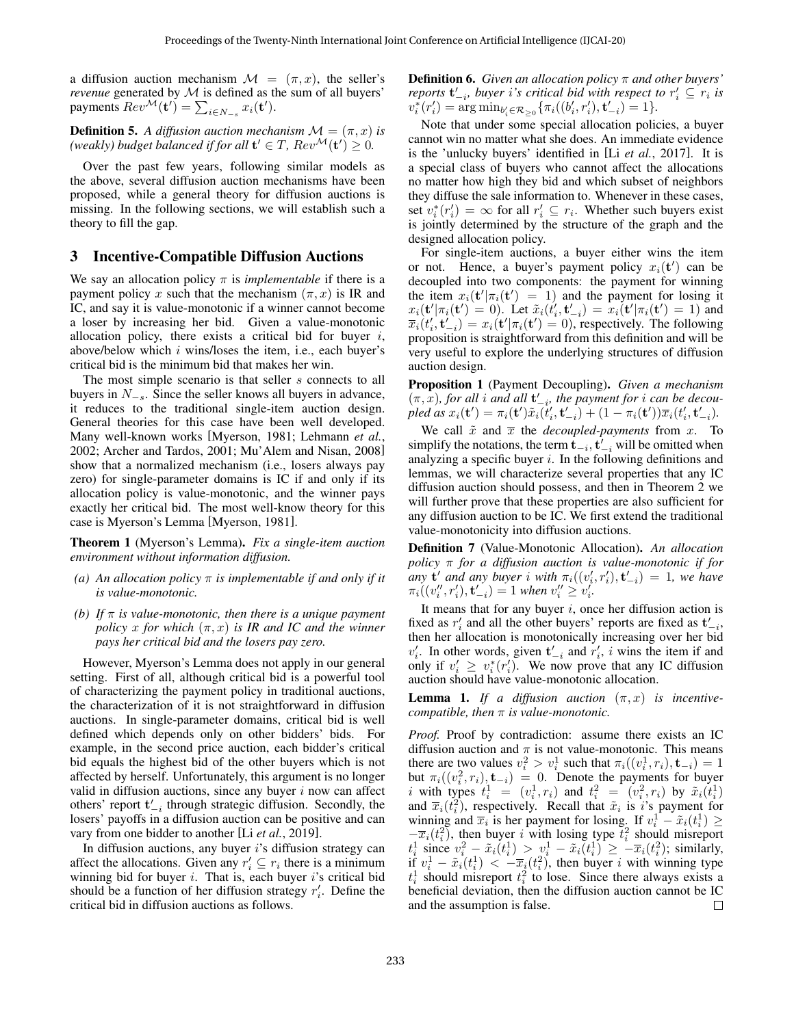a diffusion auction mechanism  $\mathcal{M} = (\pi, x)$ , the seller's *revenue* generated by  $M$  is defined as the sum of all buyers' payments  $Rev^{\mathcal{M}}(\mathbf{t}') = \sum_{i \in N_{-s}} x_i(\mathbf{t}')$ .

**Definition 5.** *A diffusion auction mechanism*  $\mathcal{M} = (\pi, x)$  *is (weakly) budget balanced if for all*  $\mathbf{t}' \in T$ ,  $Rev^{\mathcal{M}}(\mathbf{t}') \geq 0$ .

Over the past few years, following similar models as the above, several diffusion auction mechanisms have been proposed, while a general theory for diffusion auctions is missing. In the following sections, we will establish such a theory to fill the gap.

## 3 Incentive-Compatible Diffusion Auctions

We say an allocation policy  $\pi$  is *implementable* if there is a payment policy x such that the mechanism  $(\pi, x)$  is IR and IC, and say it is value-monotonic if a winner cannot become a loser by increasing her bid. Given a value-monotonic allocation policy, there exists a critical bid for buyer  $i$ , above/below which  $i$  wins/loses the item, i.e., each buyer's critical bid is the minimum bid that makes her win.

The most simple scenario is that seller s connects to all buyers in  $N_{-s}$ . Since the seller knows all buyers in advance, it reduces to the traditional single-item auction design. General theories for this case have been well developed. Many well-known works [\[Myerson, 1981;](#page-6-7) [Lehmann](#page-6-18) *et al.*, [2002;](#page-6-18) [Archer and Tardos, 2001;](#page-6-8) [Mu'Alem and Nisan, 2008\]](#page-6-19) show that a normalized mechanism (i.e., losers always pay zero) for single-parameter domains is IC if and only if its allocation policy is value-monotonic, and the winner pays exactly her critical bid. The most well-know theory for this case is Myerson's Lemma [\[Myerson, 1981\]](#page-6-7).

Theorem 1 (Myerson's Lemma). *Fix a single-item auction environment without information diffusion.*

- *(a) An allocation policy* π *is implementable if and only if it is value-monotonic.*
- *(b)* If  $\pi$  *is value-monotonic, then there is a unique payment policy* x for which  $(\pi, x)$  *is IR and IC and the winner pays her critical bid and the losers pay zero.*

However, Myerson's Lemma does not apply in our general setting. First of all, although critical bid is a powerful tool of characterizing the payment policy in traditional auctions, the characterization of it is not straightforward in diffusion auctions. In single-parameter domains, critical bid is well defined which depends only on other bidders' bids. For example, in the second price auction, each bidder's critical bid equals the highest bid of the other buyers which is not affected by herself. Unfortunately, this argument is no longer valid in diffusion auctions, since any buyer  $i$  now can affect others' report  $\mathbf{t}'_{-i}$  through strategic diffusion. Secondly, the losers' payoffs in a diffusion auction can be positive and can vary from one bidder to another [Li *et al.*[, 2019\]](#page-6-5).

In diffusion auctions, any buyer i's diffusion strategy can affect the allocations. Given any  $r'_i \subseteq r_i$  there is a minimum winning bid for buyer  $i$ . That is, each buyer  $i$ 's critical bid should be a function of her diffusion strategy  $r_i'$ . Define the critical bid in diffusion auctions as follows.

Definition 6. *Given an allocation policy* π *and other buyers' reports*  $\mathbf{t}'_{-i}$ , buyer *i*'s critical bid with respect to  $r'_i \subseteq r_i$  is  $v_i^*(r'_i) = \arg \min_{b'_i \in \mathcal{R}_{\geq 0}} \{ \pi_i((b'_i, r'_i), \mathbf{t}'_{-i}) - 1 \}.$ 

Note that under some special allocation policies, a buyer cannot win no matter what she does. An immediate evidence is the 'unlucky buyers' identified in [Li *et al.*[, 2017\]](#page-6-0). It is a special class of buyers who cannot affect the allocations no matter how high they bid and which subset of neighbors they diffuse the sale information to. Whenever in these cases, set  $v_i^*(r_i') = \infty$  for all  $r_i' \subseteq r_i$ . Whether such buyers exist is jointly determined by the structure of the graph and the designed allocation policy.

For single-item auctions, a buyer either wins the item or not. Hence, a buyer's payment policy  $x_i(t')$  can be decoupled into two components: the payment for winning the item  $x_i(\mathbf{t}' | \pi_i(\mathbf{t}') = 1)$  and the payment for losing it  $x_i(\mathbf{t}' | \pi_i(\mathbf{t}') = 0)$ . Let  $\tilde{x}_i(t'_i, \mathbf{t}'_{-i}) = x_i(\mathbf{t}' | \pi_i(\mathbf{t}') = 1)$  and  $\overline{x}_i(t'_i, \mathbf{t}'_{-i}) = x_i(\mathbf{t}' | \pi_i(\mathbf{t}') = 0)$ , respectively. The following proposition is straightforward from this definition and will be very useful to explore the underlying structures of diffusion auction design.

<span id="page-2-0"></span>Proposition 1 (Payment Decoupling). *Given a mechanism*  $(\pi, x)$ *, for all i and all*  $\mathbf{t}'_{-i}$ *, the payment for i can be decou-* $\hat{p}$ *led as*  $x_i(\mathbf{t}') = \pi_i(\mathbf{t}')\tilde{x}_i(t'_i, \mathbf{t}'_{-i}) + (1 - \pi_i(\mathbf{t}'))\overline{x}_i(t'_i, \mathbf{t}'_{-i}).$ 

We call  $\tilde{x}$  and  $\overline{x}$  the *decoupled-payments* from  $x$ . To simplify the notations, the term  $\mathbf{t}_{-i}, \mathbf{t}'_{-i}$  will be omitted when analyzing a specific buyer  $i$ . In the following definitions and lemmas, we will characterize several properties that any IC diffusion auction should possess, and then in Theorem [2](#page-3-0) we will further prove that these properties are also sufficient for any diffusion auction to be IC. We first extend the traditional value-monotonicity into diffusion auctions.

<span id="page-2-2"></span>Definition 7 (Value-Monotonic Allocation). *An allocation policy* π *for a diffusion auction is value-monotonic if for any* **t'** *and any buyer i* with  $\pi_i((v'_i, r'_i), \mathbf{t}'_{-i}) = 1$ , we have  $\pi_i((v''_i, r'_i), \mathbf{t}'_{-i}) = 1$  when  $v''_i \ge v'_i$ .

It means that for any buyer  $i$ , once her diffusion action is fixed as  $r'_i$  and all the other buyers' reports are fixed as  $t'_{-i}$ , then her allocation is monotonically increasing over her bid  $v_i'$ . In other words, given  $t'_{-i}$  and  $r_i'$ , i wins the item if and only if  $v_i' \geq v_i^*(r_i')$ . We now prove that any IC diffusion auction should have value-monotonic allocation.

<span id="page-2-1"></span>**Lemma 1.** If a diffusion auction  $(\pi, x)$  is incentive*compatible, then* π *is value-monotonic.*

*Proof.* Proof by contradiction: assume there exists an IC diffusion auction and  $\pi$  is not value-monotonic. This means there are two values  $v_i^2 > v_i^1$  such that  $\pi_i((v_i^1, r_i), \mathbf{t}_{-i}) = 1$ but  $\pi_i((v_i^2, r_i), \mathbf{t}_{-i}) = 0$ . Denote the payments for buyer i with types  $t_i^1 = (v_i^1, r_i)$  and  $t_i^2 = (v_i^2, r_i)$  by  $\tilde{x}_i(t_i^1)$ and  $\overline{x}_i(t_i^2)$ , respectively. Recall that  $\tilde{x}_i$  is *i*'s payment for winning and  $\overline{x}_i$  is her payment for losing. If  $v_i^1 - \tilde{x}_i(t_i^1) \geq$  $-\overline{x}_i(t_i^2)$ , then buyer i with losing type  $t_i^2$  should misreport  $t_i^1$  since  $v_i^2 - \tilde{x}_i(t_i^1) > v_i^1 - \tilde{x}_i(t_i^1) \geq -\overline{x}_i(t_i^2)$ ; similarly, if  $v_i^1 - \tilde{x}_i(t_i^1) < -\overline{x}_i(t_i^2)$ , then buyer i with winning type  $t_i^1$  should misreport  $t_i^2$  to lose. Since there always exists a beneficial deviation, then the diffusion auction cannot be IC and the assumption is false.  $\Box$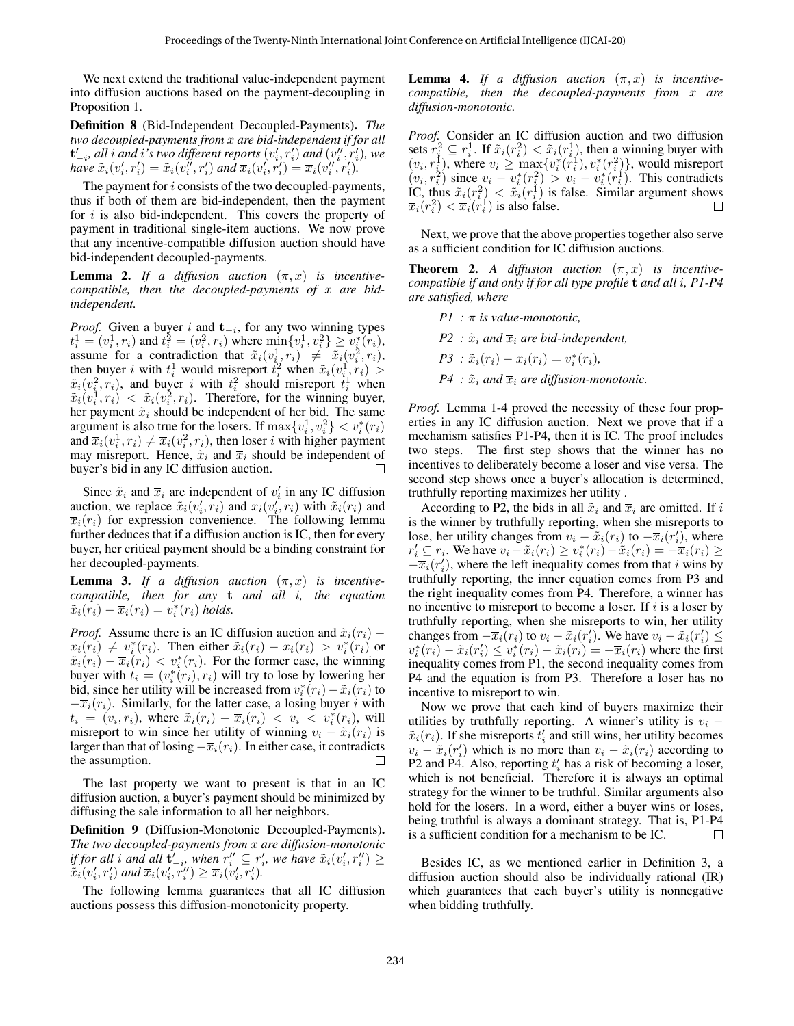We next extend the traditional value-independent payment into diffusion auctions based on the payment-decoupling in Proposition [1.](#page-2-0)

Definition 8 (Bid-Independent Decoupled-Payments). *The two decoupled-payments from* x *are bid-independent if for all*  $\mathbf{t}'_{-i}$ , all  $i$  and  $i$  's two different reports  $(v'_i, r'_i)$  and  $(v''_i, r'_i)$ , we *have*  $\tilde{x}_i(v'_i, r'_i) = \tilde{x}_i(v''_i, r'_i)$  and  $\overline{x}_i(v'_i, r'_i) = \overline{x}_i(v''_i, r'_i)$ .

The payment for *i* consists of the two decoupled-payments, thus if both of them are bid-independent, then the payment for  $i$  is also bid-independent. This covers the property of payment in traditional single-item auctions. We now prove that any incentive-compatible diffusion auction should have bid-independent decoupled-payments.

**Lemma 2.** If a diffusion auction  $(\pi, x)$  is incentive*compatible, then the decoupled-payments of* x *are bidindependent.*

*Proof.* Given a buyer i and  $t_{-i}$ , for any two winning types  $t_i^1 = (v_i^1, r_i)$  and  $t_i^2 = (v_i^2, r_i)$  where  $\min\{v_i^1, v_i^2\} \ge v_i^*(r_i)$ , assume for a contradiction that  $\tilde{x}_i(v_i^1, r_i) \neq \tilde{x}_i(v_i^2, r_i)$ , then buyer i with  $t_i^1$  would misreport  $\hat{t}_i^2$  when  $\tilde{x}_i(v_i^1, r_i) >$  $\tilde{x}_i(v_i^2, r_i)$ , and buyer i with  $t_i^2$  should misreport  $t_i^1$  when  $\tilde{x}_i(v_i^1, r_i) < \tilde{x}_i(v_i^2, r_i)$ . Therefore, for the winning buyer, her payment  $\tilde{x}_i$  should be independent of her bid. The same argument is also true for the losers. If  $\max\{v_i^1, v_i^2\} < v_i^*(r_i)$ and  $\overline{x}_i(v_i^1, r_i) \neq \overline{x}_i(v_i^2, r_i)$ , then loser *i* with higher payment may misreport. Hence,  $\tilde{x}_i$  and  $\overline{x}_i$  should be independent of buver's bid in any IC diffusion auction. buyer's bid in any IC diffusion auction.

Since  $\tilde{x}_i$  and  $\overline{x}_i$  are independent of  $v'_i$  in any IC diffusion auction, we replace  $\tilde{x}_i(v'_i, r_i)$  and  $\overline{x}_i(v'_i, r_i)$  with  $\tilde{x}_i(r_i)$  and  $\overline{x}_i(r_i)$  for expression convenience. The following lemma further deduces that if a diffusion auction is IC, then for every buyer, her critical payment should be a binding constraint for her decoupled-payments.

**Lemma 3.** If a diffusion auction  $(\pi, x)$  is incentive*compatible, then for any* t *and all* i*, the equation*  $\tilde{x}_i(\overline{r}_i) - \overline{x}_i(r_i) = v_i^*(r_i)$  holds.

*Proof.* Assume there is an IC diffusion auction and  $\tilde{x}_i(r_i)$  –  $\overline{x}_i(r_i) \neq v_i^*(r_i)$ . Then either  $\tilde{x}_i(r_i) - \overline{x}_i(r_i) > v_i^*(r_i)$  or  $\tilde{x}_i(r_i) - \overline{x}_i(r_i) < v_i^*(r_i)$ . For the former case, the winning buyer with  $t_i = (v_i^*(r_i), r_i)$  will try to lose by lowering her bid, since her utility will be increased from  $v_i^*(r_i) - \tilde{x}_i(\tilde{r}_i)$  to  $-\overline{x}_i(r_i)$ . Similarly, for the latter case, a losing buyer i with  $t_i = (v_i, r_i)$ , where  $\tilde{x}_i(r_i) - \overline{x}_i(r_i) < v_i < v_i^*(r_i)$ , will misreport to win since her utility of winning  $v_i - \tilde{x}_i(r_i)$  is larger than that of losing  $-\overline{x}_i(r_i)$ . In either case, it contradicts the assumption. П

The last property we want to present is that in an IC diffusion auction, a buyer's payment should be minimized by diffusing the sale information to all her neighbors.

Definition 9 (Diffusion-Monotonic Decoupled-Payments). *The two decoupled-payments from* x *are diffusion-monotonic if for all i and all*  $\mathbf{t}'_{-i}$ , when  $r''_i \subseteq r'_i$ , we have  $\tilde{x}_i(v'_i, r''_i) \geq$  $\tilde{x}_i(v'_i, r'_i)$  and  $\overline{x}_i(v'_i, r''_i) \geq \overline{x}_i(v'_i, r'_i)$ .

The following lemma guarantees that all IC diffusion auctions possess this diffusion-monotonicity property.

<span id="page-3-1"></span>**Lemma 4.** *If a diffusion auction*  $(\pi, x)$  *is incentivecompatible, then the decoupled-payments from* x *are diffusion-monotonic.*

*Proof.* Consider an IC diffusion auction and two diffusion sets  $r_i^2 \subseteq r_i^1$ . If  $\tilde{x}_i(r_i^2) < \tilde{x}_i(r_i^1)$ , then a winning buyer with  $(v_i, r_i^1)$ , where  $v_i \ge \max\{v_i^*(r_i^1), v_i^*(r_i^2)\}$ , would misreport  $(v_i, r_i^2)$  since  $v_i - v_i^*(r_i^2) > v_i - v_i^*(r_i^1)$ . This contradicts IC, thus  $\tilde{x}_i(r_i^2) < \tilde{x}_i(r_i^1)$  is false. Similar argument shows  $\overline{x}_i(r_i^2) < \overline{x}_i(r_i^1)$  is also false. П

Next, we prove that the above properties together also serve as a sufficient condition for IC diffusion auctions.

<span id="page-3-0"></span>**Theorem 2.** *A diffusion auction*  $(\pi, x)$  *is incentivecompatible if and only if for all type profile* t *and all* i*, P1-P4 are satisfied, where*

*P1 :* π *is value-monotonic,*  $P2$  :  $\tilde{x}_i$  *and*  $\overline{x}_i$  *are bid-independent,*  $P3 : \tilde{x}_i(r_i) - \overline{x}_i(r_i) = v_i^*(r_i),$  $P4$ :  $\tilde{x}_i$  *and*  $\overline{x}_i$  *are diffusion-monotonic.* 

*Proof.* Lemma [1-](#page-2-1)[4](#page-3-1) proved the necessity of these four properties in any IC diffusion auction. Next we prove that if a mechanism satisfies P1-P4, then it is IC. The proof includes two steps. The first step shows that the winner has no incentives to deliberately become a loser and vise versa. The second step shows once a buyer's allocation is determined, truthfully reporting maximizes her utility .

According to P2, the bids in all  $\tilde{x}_i$  and  $\overline{x}_i$  are omitted. If i is the winner by truthfully reporting, when she misreports to lose, her utility changes from  $v_i - \tilde{x}_i(r_i)$  to  $-\overline{x}_i(r'_i)$ , where  $r'_i \subseteq r_i$ . We have  $v_i - \tilde{x}_i(r_i) \ge v_i^*(r_i) - \tilde{x}_i(r_i) = -\overline{x}_i(r_i) \ge$  $-\overline{x}_i(r'_i)$ , where the left inequality comes from that i wins by truthfully reporting, the inner equation comes from P3 and the right inequality comes from P4. Therefore, a winner has no incentive to misreport to become a loser. If  $i$  is a loser by truthfully reporting, when she misreports to win, her utility changes from  $-\overline{x}_i(r_i)$  to  $v_i - \tilde{x}_i(r'_i)$ . We have  $v_i - \tilde{x}_i(r'_i) \leq$  $v_i^*(r_i) - \tilde{x}_i(r_i') \leq v_i^*(r_i) - \tilde{x}_i(r_i) = -\overline{x}_i(r_i)$  where the first inequality comes from P1, the second inequality comes from P4 and the equation is from P3. Therefore a loser has no incentive to misreport to win.

Now we prove that each kind of buyers maximize their utilities by truthfully reporting. A winner's utility is  $v_i$  –  $\tilde{x}_i(r_i)$ . If she misreports  $t'_i$  and still wins, her utility becomes  $v_i - \tilde{x}_i(r'_i)$  which is no more than  $v_i - \tilde{x}_i(r_i)$  according to P2 and P4. Also, reporting  $t_i'$  has a risk of becoming a loser, which is not beneficial. Therefore it is always an optimal strategy for the winner to be truthful. Similar arguments also hold for the losers. In a word, either a buyer wins or loses, being truthful is always a dominant strategy. That is, P1-P4 is a sufficient condition for a mechanism to be IC. П

Besides IC, as we mentioned earlier in Definition 3, a diffusion auction should also be individually rational (IR) which guarantees that each buyer's utility is nonnegative when bidding truthfully.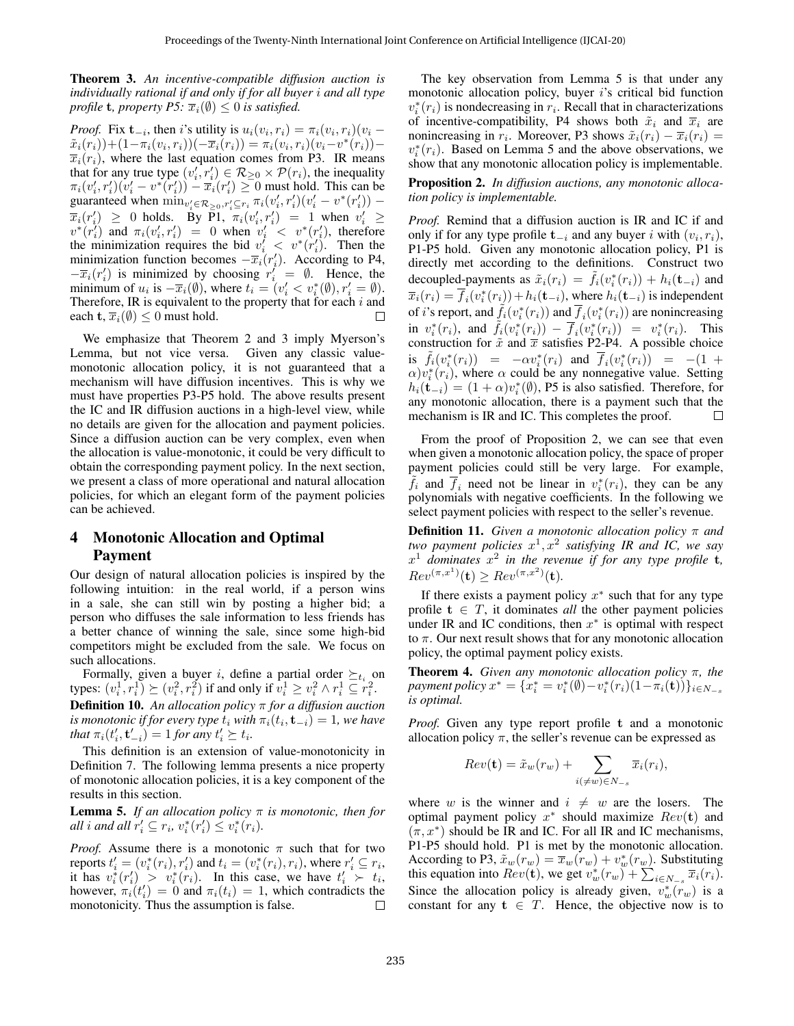<span id="page-4-1"></span>Theorem 3. *An incentive-compatible diffusion auction is individually rational if and only if for all buyer* i *and all type profile* **t***, property P5:*  $\overline{x}_i(\emptyset) \leq 0$  *is satisfied.* 

*Proof.* Fix  $\mathbf{t}_{-i}$ , then *i*'s utility is  $u_i(v_i, r_i) = \pi_i(v_i, r_i)(v_i \tilde{x}_i(\vec{r_i})\!+\!(1\!-\!\pi_i(v_i,r_i))(-\overline{x}_i(\vec{r_i})) = \pi_i(v_i,r_i)(\vec{v_i}\!-\!\vec{v}^*(\vec{r_i})) \overline{x}_i(r_i)$ , where the last equation comes from P3. IR means that for any true type  $(v'_i, r'_i) \in \mathcal{R}_{\geq 0} \times \mathcal{P}(r_i)$ , the inequality  $\pi_i(v'_i, r'_i)(v'_i - v^*(r'_i)) - \overline{x}_i(r'_i) \ge 0$  must hold. This can be guaranteed when  $\min_{v'_i \in \mathcal{R}_{\geq 0}, r'_i \subseteq r_i} \pi_i(v'_i, r'_i)(v'_i - v^*(r'_i))$  –  $\overline{x}_i(r'_i) \geq 0$  holds. By P1,  $\overline{\pi}_i(v'_i, r'_i) = 1$  when  $v'_i \geq$  $v^*(r_i')$  and  $\pi_i(v_i', r_i') = 0$  when  $v_i' < v^*(r_i')$ , therefore the minimization requires the bid  $v_i' < v^*(r_i')$ . Then the minimization function becomes  $-\overline{x}_i(r'_i)$ . According to P4,  $-\overline{x}_i(r'_i)$  is minimized by choosing  $r''_i = \emptyset$ . Hence, the minimum of  $u_i$  is  $-\overline{x}_i(\emptyset)$ , where  $t_i = (v'_i < v_i^*(\emptyset), r'_i = \emptyset)$ . Therefore, IR is equivalent to the property that for each  $i$  and each t,  $\overline{x}_i(\emptyset) \leq 0$  must hold. П

We emphasize that Theorem [2](#page-4-0) and [3](#page-4-1) imply Myerson's Lemma, but not vice versa. Given any classic valuemonotonic allocation policy, it is not guaranteed that a mechanism will have diffusion incentives. This is why we must have properties P3-P5 hold. The above results present the IC and IR diffusion auctions in a high-level view, while no details are given for the allocation and payment policies. Since a diffusion auction can be very complex, even when the allocation is value-monotonic, it could be very difficult to obtain the corresponding payment policy. In the next section, we present a class of more operational and natural allocation policies, for which an elegant form of the payment policies can be achieved.

## 4 Monotonic Allocation and Optimal Payment

Our design of natural allocation policies is inspired by the following intuition: in the real world, if a person wins in a sale, she can still win by posting a higher bid; a person who diffuses the sale information to less friends has a better chance of winning the sale, since some high-bid competitors might be excluded from the sale. We focus on such allocations.

Formally, given a buyer i, define a partial order  $\succeq_{t_i}$  on types:  $(v_i^1, r_i^1) \succeq (v_i^2, r_i^2)$  if and only if  $v_i^1 \ge v_i^2 \wedge r_i^1 \subseteq r_i^2$ . Definition 10. *An allocation policy* π *for a diffusion auction is monotonic if for every type*  $t_i$  *with*  $\pi_i(t_i, \mathbf{t}_{-i}) = 1$ *, we have that*  $\pi_i(t'_i, t'_{-i}) = 1$  *for any*  $t'_i \succeq t_i$ *.* 

This definition is an extension of value-monotonicity in Definition [7.](#page-2-2) The following lemma presents a nice property of monotonic allocation policies, it is a key component of the results in this section.

<span id="page-4-2"></span>**Lemma 5.** *If an allocation policy*  $\pi$  *is monotonic, then for all*  $i$  *and all*  $r'_i \subseteq r_i$ ,  $v_i^*(r'_i) \leq v_i^*(r_i)$ .

*Proof.* Assume there is a monotonic  $\pi$  such that for two reports  $t'_{i} = (v_i^*(r_i), r'_{i})$  and  $t_i = (v_i^*(r_i), r_i)$ , where  $r'_{i} \subseteq r_i$ , it has  $v_i^*(r'_i) > v_i^*(r_i)$ . In this case, we have  $t'_i > t_i$ , however,  $\pi_i(t'_i) = 0$  and  $\pi_i(t_i) = 1$ , which contradicts the monotonicity. Thus the assumption is false. П

The key observation from Lemma [5](#page-4-2) is that under any monotonic allocation policy, buyer  $i$ 's critical bid function  $v_i^*(r_i)$  is nondecreasing in  $r_i$ . Recall that in characterizations of incentive-compatibility, P4 shows both  $\tilde{x}_i$  and  $\overline{x}_i$  are nonincreasing in  $r_i$ . Moreover, P3 shows  $\tilde{x}_i(r_i) - \overline{x}_i(r_i) =$  $v_i^*(r_i)$ . Based on Lemma [5](#page-4-2) and the above observations, we show that any monotonic allocation policy is implementable.

<span id="page-4-0"></span>Proposition 2. *In diffusion auctions, any monotonic allocation policy is implementable.*

*Proof.* Remind that a diffusion auction is IR and IC if and only if for any type profile  $t_{-i}$  and any buyer i with  $(v_i, r_i)$ , P1-P5 hold. Given any monotonic allocation policy, P1 is directly met according to the definitions. Construct two decoupled-payments as  $\tilde{x}_i(r_i) = \tilde{f}_i(v_i^*(r_i)) + h_i(\mathbf{t}_{-i})$  and  $\overline{x}_i(r_i) = \overline{f}_i(v_i^*(r_i)) + h_i(\mathbf{t}_{-i})$ , where  $h_i(\mathbf{t}_{-i})$  is independent of *i*'s report, and  $\tilde{f}_i(v_i^*(r_i))$  and  $\overline{f}_i(v_i^*(r_i))$  are nonincreasing in  $v_i^*(r_i)$ , and  $\tilde{f}_i(v_i^*(r_i)) - \overline{f}_i(v_i^*(r_i)) = v_i^*(r_i)$ . This construction for  $\tilde{x}$  and  $\overline{x}$  satisfies P2-P4. A possible choice is  $\tilde{f}_i(v_i^*(r_i)) = -\alpha v_i^*(r_i)$  and  $\overline{f}_i(v_i^*(r_i)) = -(1 +$  $\alpha$ ) $v_i^*(r_i)$ , where  $\alpha$  could be any nonnegative value. Setting  $h_i(\mathbf{t}_{-i}) = (1 + \alpha)v_i^*(\emptyset)$ , P5 is also satisfied. Therefore, for any monotonic allocation, there is a payment such that the mechanism is IR and IC. This completes the proof.  $\Box$ 

From the proof of Proposition [2,](#page-4-0) we can see that even when given a monotonic allocation policy, the space of proper payment policies could still be very large. For example,  $\overline{f}_i$  and  $\overline{f}_i$  need not be linear in  $v_i^*(r_i)$ , they can be any polynomials with negative coefficients. In the following we select payment policies with respect to the seller's revenue.

Definition 11. *Given a monotonic allocation policy* π *and* two payment policies  $x^1, x^2$  satisfying IR and IC, we say  $x^1$  dominates  $x^2$  in the revenue if for any type profile **t**,  $Rev^{(\pi, x^1)}(\mathbf{t}) \geq Rev^{(\pi, x^2)}(\mathbf{t}).$ 

If there exists a payment policy  $x^*$  such that for any type profile  $t \in T$ , it dominates *all* the other payment policies under IR and IC conditions, then  $x^*$  is optimal with respect to  $\pi$ . Our next result shows that for any monotonic allocation policy, the optimal payment policy exists.

<span id="page-4-3"></span>Theorem 4. *Given any monotonic allocation policy* π*, the*  $p$ ayment policy  $x^* = \{x_i^* = v_i^*(\emptyset) - v_i^*(r_i)(1 - \pi_i(\mathbf{t}))\}_{i \in N_{-s}}$ *is optimal.*

*Proof.* Given any type report profile t and a monotonic allocation policy  $\pi$ , the seller's revenue can be expressed as

$$
Rev(\mathbf{t}) = \tilde{x}_w(r_w) + \sum_{i(\neq w) \in N_{-s}} \overline{x}_i(r_i),
$$

where w is the winner and  $i \neq w$  are the losers. The optimal payment policy  $x^*$  should maximize  $Rev(t)$  and  $(\pi, x^*)$  should be IR and IC. For all IR and IC mechanisms, P1-P5 should hold. P1 is met by the monotonic allocation. According to P3,  $\tilde{x}_w(r_w) = \overline{x}_w(r_w) + v_w^*(r_w)$ . Substituting this equation into  $Rev(t)$ , we get  $v_w^*(r_w) + \sum_{i \in N_{-s}} \overline{x}_i(r_i)$ . Since the allocation policy is already given,  $v_w^*(r_w)$  is a constant for any  $t \in T$ . Hence, the objective now is to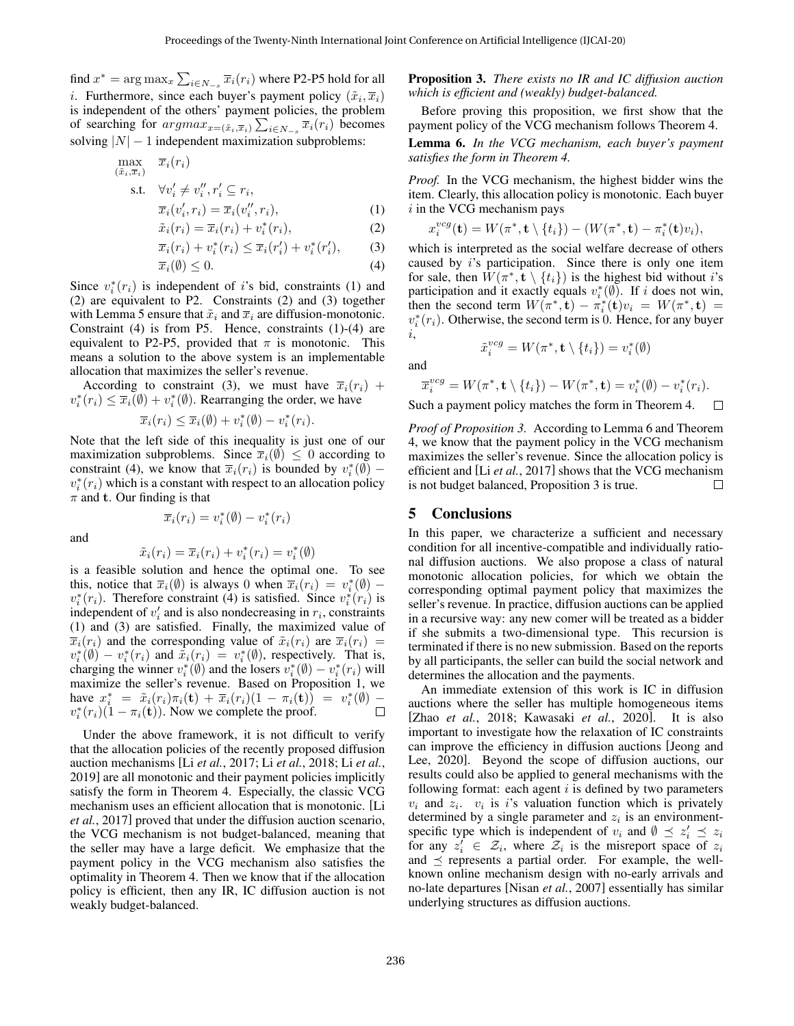find  $x^* = \arg \max_x \sum_{i \in N_{-s}} \overline{x}_i(r_i)$  where P2-P5 hold for all *i*. Furthermore, since each buyer's payment policy  $(\tilde{x}_i, \overline{x}_i)$ is independent of the others' payment policies, the problem of searching for  $argmax_{x=(\tilde{x}_i,\overline{x}_i)} \sum_{i \in N_{-s}} \overline{x}_i(r_i)$  becomes solving  $|N| - 1$  independent maximization subproblems:

$$
\max_{(\tilde{x}_i, \overline{x}_i)} \overline{x}_i(r_i)
$$
\n
$$
\text{s.t.} \quad \forall v_i' \neq v_i'', r_i' \subseteq r_i,
$$
\n
$$
\overline{x}_i(v_i', r_i) = \overline{x}_i(v_i'', r_i),
$$
\n
$$
(1)
$$

$$
\tilde{x}_i(r_i) = \overline{x}_i(r_i) + v_i^*(r_i),\tag{2}
$$

$$
\overline{x}_i(r_i) + v_i^*(r_i) \le \overline{x}_i(r_i') + v_i^*(r_i'), \qquad (3)
$$

$$
\overline{x}_i(\emptyset) \le 0. \tag{4}
$$

Since  $v_i^*(r_i)$  is independent of i's bid, constraints (1) and (2) are equivalent to P2. Constraints (2) and (3) together with Lemma [5](#page-4-2) ensure that  $\tilde{x}_i$  and  $\overline{x}_i$  are diffusion-monotonic. Constraint (4) is from P5. Hence, constraints (1)-(4) are equivalent to P2-P5, provided that  $\pi$  is monotonic. This means a solution to the above system is an implementable allocation that maximizes the seller's revenue.

According to constraint (3), we must have  $\overline{x}_i(r_i)$  +  $v_i^*(r_i) \leq \overline{x}_i(\emptyset) + v_i^*(\emptyset)$ . Rearranging the order, we have

$$
\overline{x}_i(r_i) \leq \overline{x}_i(\emptyset) + v_i^*(\emptyset) - v_i^*(r_i).
$$

Note that the left side of this inequality is just one of our maximization subproblems. Since  $\overline{x_i}(\emptyset) \leq 0$  according to constraint (4), we know that  $\overline{x}_i(r_i)$  is bounded by  $v_i^*(\emptyset)$  –  $v_i^*(r_i)$  which is a constant with respect to an allocation policy  $\pi$  and **t**. Our finding is that

and

$$
\tilde{x}_i(r_i) = \overline{x}_i(r_i) + v_i^*(r_i) = v_i^*(\emptyset)
$$

 $\overline{x}_i(r_i) = v_i^*(\emptyset) - v_i^*(r_i)$ 

is a feasible solution and hence the optimal one. To see this, notice that  $\overline{x}_i(\emptyset)$  is always 0 when  $\overline{x}_i(r_i) = v_i^*(\emptyset)$  –  $v_i^*(r_i)$ . Therefore constraint (4) is satisfied. Since  $v_i^*(r_i)$  is independent of  $v_i'$  and is also nondecreasing in  $r_i$ , constraints (1) and (3) are satisfied. Finally, the maximized value of  $\overline{x}_i(r_i)$  and the corresponding value of  $\tilde{x}_i(r_i)$  are  $\overline{x}_i(r_i)$  =  $v_i^*(\emptyset) - v_i^*(r_i)$  and  $\tilde{x}_i(r_i) = v_i^*(\emptyset)$ , respectively. That is, charging the winner  $v_i^*(\emptyset)$  and the losers  $v_i^*(\emptyset) - v_i^*(r_i)$  will maximize the seller's revenue. Based on Proposition [1,](#page-2-0) we have  $x_i^* = \tilde{x}_i(r_i)\pi_i(\mathbf{t}) + \overline{x}_i(r_i)(1 - \pi_i(\mathbf{t})) = v_i^*(\emptyset)$  $v_i^*(r_i)(1 - \pi_i(\mathbf{t}))$ . Now we complete the proof.  $\Box$ 

Under the above framework, it is not difficult to verify that the allocation policies of the recently proposed diffusion auction mechanisms [Li *et al.*[, 2017;](#page-6-0) Li *et al.*[, 2018;](#page-6-4) Li *[et al.](#page-6-5)*, [2019\]](#page-6-5) are all monotonic and their payment policies implicitly satisfy the form in Theorem [4.](#page-4-3) Especially, the classic VCG mechanism uses an efficient allocation that is monotonic. [\[Li](#page-6-0) *et al.*[, 2017\]](#page-6-0) proved that under the diffusion auction scenario, the VCG mechanism is not budget-balanced, meaning that the seller may have a large deficit. We emphasize that the payment policy in the VCG mechanism also satisfies the optimality in Theorem [4.](#page-4-3) Then we know that if the allocation policy is efficient, then any IR, IC diffusion auction is not weakly budget-balanced.

<span id="page-5-0"></span>Proposition 3. *There exists no IR and IC diffusion auction which is efficient and (weakly) budget-balanced.*

Before proving this proposition, we first show that the payment policy of the VCG mechanism follows Theorem [4.](#page-4-3)

### <span id="page-5-1"></span>Lemma 6. *In the VCG mechanism, each buyer's payment satisfies the form in Theorem [4.](#page-4-3)*

*Proof.* In the VCG mechanism, the highest bidder wins the item. Clearly, this allocation policy is monotonic. Each buyer  $i$  in the VCG mechanism pays

$$
x_i^{vcg}(\mathbf{t}) = W(\pi^*, \mathbf{t} \setminus \{t_i\}) - (W(\pi^*, \mathbf{t}) - \pi_i^*(\mathbf{t})v_i),
$$

which is interpreted as the social welfare decrease of others caused by i's participation. Since there is only one item for sale, then  $\hat{W}(\pi^*, \mathbf{t} \setminus \{t_i\})$  is the highest bid without i's participation and it exactly equals  $v_i^*(\emptyset)$ . If i does not win, then the second term  $W(\pi^*, \mathbf{t}) - \pi_i^*(\mathbf{t})v_i = W(\pi^*, \mathbf{t}) =$  $v_i^*(r_i)$ . Otherwise, the second term is 0. Hence, for any buyer i,

$$
\tilde{x}_i^{vcg} = W(\pi^*, \mathbf{t} \setminus \{t_i\}) = v_i^*(\emptyset)
$$

and

$$
\overline{x}_i^{vcg} = W(\pi^*, \mathbf{t} \setminus \{t_i\}) - W(\pi^*, \mathbf{t}) = v_i^*(\emptyset) - v_i^*(r_i).
$$

Such a payment policy matches the form in Theorem [4.](#page-4-3)  $\Box$ 

*Proof of Proposition [3.](#page-5-0)* According to Lemma [6](#page-5-1) and Theorem [4,](#page-4-3) we know that the payment policy in the VCG mechanism maximizes the seller's revenue. Since the allocation policy is efficient and [Li *et al.*[, 2017\]](#page-6-0) shows that the VCG mechanism is not budget balanced, Proposition [3](#page-5-0) is true.  $\Box$ 

### 5 Conclusions

In this paper, we characterize a sufficient and necessary condition for all incentive-compatible and individually rational diffusion auctions. We also propose a class of natural monotonic allocation policies, for which we obtain the corresponding optimal payment policy that maximizes the seller's revenue. In practice, diffusion auctions can be applied in a recursive way: any new comer will be treated as a bidder if she submits a two-dimensional type. This recursion is terminated if there is no new submission. Based on the reports by all participants, the seller can build the social network and determines the allocation and the payments.

An immediate extension of this work is IC in diffusion auctions where the seller has multiple homogeneous items [Zhao *et al.*[, 2018;](#page-6-20) [Kawasaki](#page-6-21) *et al.*, 2020]. It is also important to investigate how the relaxation of IC constraints can improve the efficiency in diffusion auctions [\[Jeong and](#page-6-22) [Lee, 2020\]](#page-6-22). Beyond the scope of diffusion auctions, our results could also be applied to general mechanisms with the following format: each agent  $i$  is defined by two parameters  $v_i$  and  $z_i$ .  $v_i$  is is valuation function which is privately determined by a single parameter and  $z_i$  is an environmentspecific type which is independent of  $v_i$  and  $\emptyset \leq z'_i \leq z_i$ for any  $z_i' \in \mathcal{Z}_i$ , where  $\mathcal{Z}_i$  is the misreport space of  $z_i$ and  $\preceq$  represents a partial order. For example, the wellknown online mechanism design with no-early arrivals and no-late departures [Nisan *et al.*[, 2007\]](#page-6-23) essentially has similar underlying structures as diffusion auctions.